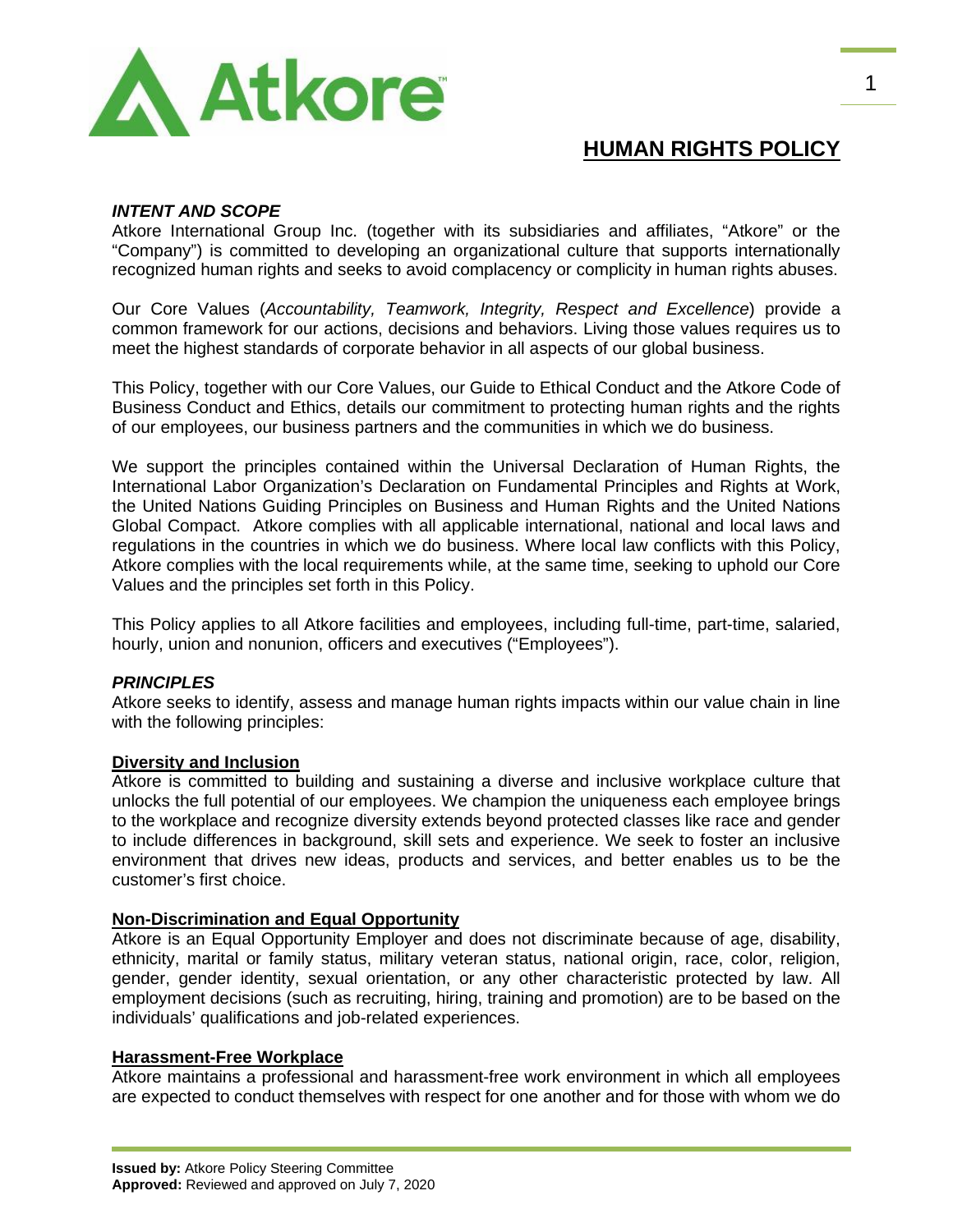

# **HUMAN RIGHTS POLICY**

# *INTENT AND SCOPE*

Atkore International Group Inc. (together with its subsidiaries and affiliates, "Atkore" or the "Company") is committed to developing an organizational culture that supports internationally recognized human rights and seeks to avoid complacency or complicity in human rights abuses.

Our Core Values (*Accountability, Teamwork, Integrity, Respect and Excellence*) provide a common framework for our actions, decisions and behaviors. Living those values requires us to meet the highest standards of corporate behavior in all aspects of our global business.

This Policy, together with our Core Values, our Guide to Ethical Conduct and the Atkore Code of Business Conduct and Ethics, details our commitment to protecting human rights and the rights of our employees, our business partners and the communities in which we do business.

We support the principles contained within the Universal Declaration of Human Rights, the International Labor Organization's Declaration on Fundamental Principles and Rights at Work, the United Nations Guiding Principles on Business and Human Rights and the United Nations Global Compact. Atkore complies with all applicable international, national and local laws and regulations in the countries in which we do business. Where local law conflicts with this Policy, Atkore complies with the local requirements while, at the same time, seeking to uphold our Core Values and the principles set forth in this Policy.

This Policy applies to all Atkore facilities and employees, including full-time, part-time, salaried, hourly, union and nonunion, officers and executives ("Employees").

### *PRINCIPLES*

Atkore seeks to identify, assess and manage human rights impacts within our value chain in line with the following principles:

### **Diversity and Inclusion**

Atkore is committed to building and sustaining a diverse and inclusive workplace culture that unlocks the full potential of our employees. We champion the uniqueness each employee brings to the workplace and recognize diversity extends beyond protected classes like race and gender to include differences in background, skill sets and experience. We seek to foster an inclusive environment that drives new ideas, products and services, and better enables us to be the customer's first choice.

### **Non-Discrimination and Equal Opportunity**

Atkore is an Equal Opportunity Employer and does not discriminate because of age, disability, ethnicity, marital or family status, military veteran status, national origin, race, color, religion, gender, gender identity, sexual orientation, or any other characteristic protected by law. All employment decisions (such as recruiting, hiring, training and promotion) are to be based on the individuals' qualifications and job-related experiences.

### **Harassment-Free Workplace**

Atkore maintains a professional and harassment-free work environment in which all employees are expected to conduct themselves with respect for one another and for those with whom we do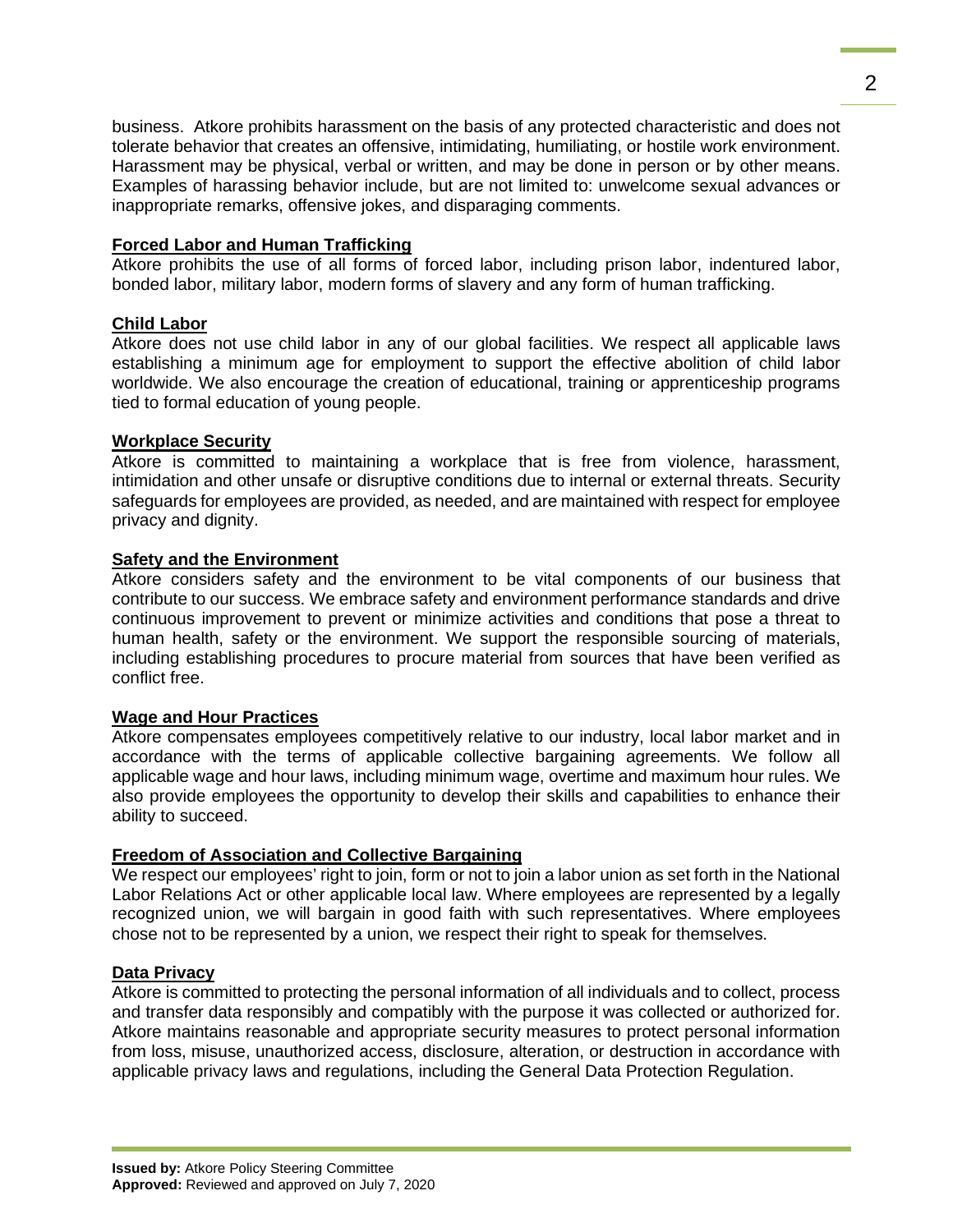business. Atkore prohibits harassment on the basis of any protected characteristic and does not tolerate behavior that creates an offensive, intimidating, humiliating, or hostile work environment. Harassment may be physical, verbal or written, and may be done in person or by other means. Examples of harassing behavior include, but are not limited to: unwelcome sexual advances or inappropriate remarks, offensive jokes, and disparaging comments.

## **Forced Labor and Human Trafficking**

Atkore prohibits the use of all forms of forced labor, including prison labor, indentured labor, bonded labor, military labor, modern forms of slavery and any form of human trafficking.

## **Child Labor**

Atkore does not use child labor in any of our global facilities. We respect all applicable laws establishing a minimum age for employment to support the effective abolition of child labor worldwide. We also encourage the creation of educational, training or apprenticeship programs tied to formal education of young people.

## **Workplace Security**

Atkore is committed to maintaining a workplace that is free from violence, harassment, intimidation and other unsafe or disruptive conditions due to internal or external threats. Security safeguards for employees are provided, as needed, and are maintained with respect for employee privacy and dignity.

## **Safety and the Environment**

Atkore considers safety and the environment to be vital components of our business that contribute to our success. We embrace safety and environment performance standards and drive continuous improvement to prevent or minimize activities and conditions that pose a threat to human health, safety or the environment. We support the responsible sourcing of materials, including establishing procedures to procure material from sources that have been verified as conflict free.

# **Wage and Hour Practices**

Atkore compensates employees competitively relative to our industry, local labor market and in accordance with the terms of applicable collective bargaining agreements. We follow all applicable wage and hour laws, including minimum wage, overtime and maximum hour rules. We also provide employees the opportunity to develop their skills and capabilities to enhance their ability to succeed.

# **Freedom of Association and Collective Bargaining**

We respect our employees' right to join, form or not to join a labor union as set forth in the National Labor Relations Act or other applicable local law. Where employees are represented by a legally recognized union, we will bargain in good faith with such representatives. Where employees chose not to be represented by a union, we respect their right to speak for themselves.

### **Data Privacy**

Atkore is committed to protecting the personal information of all individuals and to collect, process and transfer data responsibly and compatibly with the purpose it was collected or authorized for. Atkore maintains reasonable and appropriate security measures to protect personal information from loss, misuse, unauthorized access, disclosure, alteration, or destruction in accordance with applicable privacy laws and regulations, including the General Data Protection Regulation.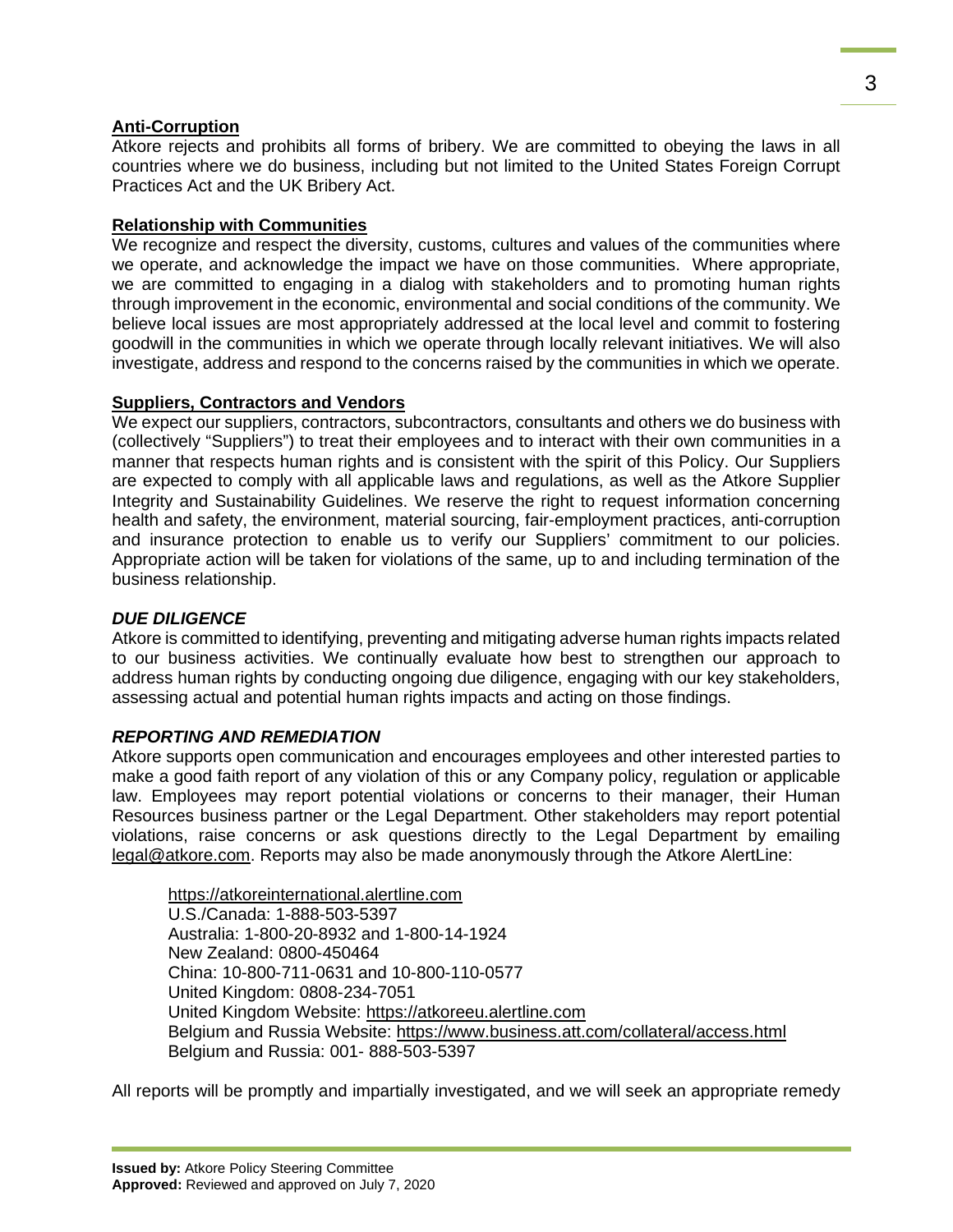# **Anti-Corruption**

Atkore rejects and prohibits all forms of bribery. We are committed to obeying the laws in all countries where we do business, including but not limited to the United States Foreign Corrupt Practices Act and the UK Bribery Act.

# **Relationship with Communities**

We recognize and respect the diversity, customs, cultures and values of the communities where we operate, and acknowledge the impact we have on those communities. Where appropriate, we are committed to engaging in a dialog with stakeholders and to promoting human rights through improvement in the economic, environmental and social conditions of the community. We believe local issues are most appropriately addressed at the local level and commit to fostering goodwill in the communities in which we operate through locally relevant initiatives. We will also investigate, address and respond to the concerns raised by the communities in which we operate.

# **Suppliers, Contractors and Vendors**

We expect our suppliers, contractors, subcontractors, consultants and others we do business with (collectively "Suppliers") to treat their employees and to interact with their own communities in a manner that respects human rights and is consistent with the spirit of this Policy. Our Suppliers are expected to comply with all applicable laws and regulations, as well as the Atkore Supplier Integrity and Sustainability Guidelines. We reserve the right to request information concerning health and safety, the environment, material sourcing, fair-employment practices, anti-corruption and insurance protection to enable us to verify our Suppliers' commitment to our policies. Appropriate action will be taken for violations of the same, up to and including termination of the business relationship.

## *DUE DILIGENCE*

Atkore is committed to identifying, preventing and mitigating adverse human rights impacts related to our business activities. We continually evaluate how best to strengthen our approach to address human rights by conducting ongoing due diligence, engaging with our key stakeholders, assessing actual and potential human rights impacts and acting on those findings.

# *REPORTING AND REMEDIATION*

Atkore supports open communication and encourages employees and other interested parties to make a good faith report of any violation of this or any Company policy, regulation or applicable law. Employees may report potential violations or concerns to their manager, their Human Resources business partner or the Legal Department. Other stakeholders may report potential violations, raise concerns or ask questions directly to the Legal Department by emailing [legal@atkore.com.](mailto:legal@atkore.com) Reports may also be made anonymously through the Atkore AlertLine:

[https://atkoreinternational.alertline.com](https://atkoreinternational.alertline.com/) U.S./Canada: 1-888-503-5397 Australia: 1-800-20-8932 and 1-800-14-1924 New Zealand: 0800-450464 China: 10-800-711-0631 and 10-800-110-0577 United Kingdom: 0808-234-7051 United Kingdom Website: [https://atkoreeu.alertline.com](https://atkoreeu.alertline.com/) Belgium and Russia Website:<https://www.business.att.com/collateral/access.html> Belgium and Russia: 001- 888-503-5397

All reports will be promptly and impartially investigated, and we will seek an appropriate remedy